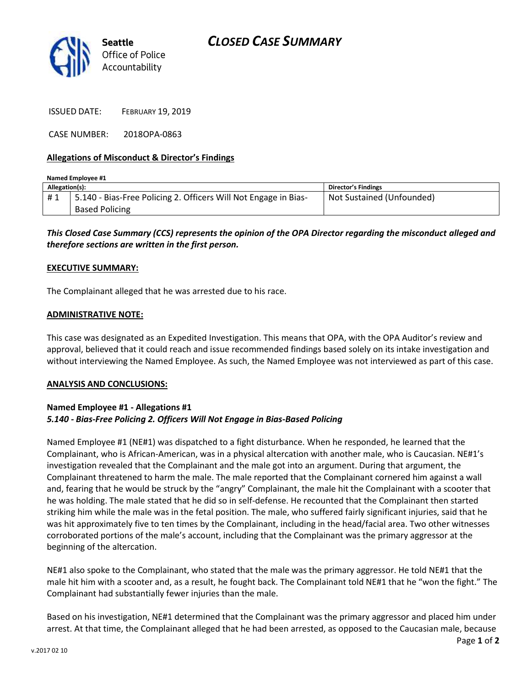

ISSUED DATE: FEBRUARY 19, 2019

CASE NUMBER: 2018OPA-0863

## **Allegations of Misconduct & Director's Findings**

| Named Employee #1 |                                                                 |                            |
|-------------------|-----------------------------------------------------------------|----------------------------|
| Allegation(s):    |                                                                 | <b>Director's Findings</b> |
| #1                | 5.140 - Bias-Free Policing 2. Officers Will Not Engage in Bias- | Not Sustained (Unfounded)  |
|                   | <b>Based Policing</b>                                           |                            |

*This Closed Case Summary (CCS) represents the opinion of the OPA Director regarding the misconduct alleged and therefore sections are written in the first person.* 

#### **EXECUTIVE SUMMARY:**

The Complainant alleged that he was arrested due to his race.

### **ADMINISTRATIVE NOTE:**

This case was designated as an Expedited Investigation. This means that OPA, with the OPA Auditor's review and approval, believed that it could reach and issue recommended findings based solely on its intake investigation and without interviewing the Named Employee. As such, the Named Employee was not interviewed as part of this case.

#### **ANALYSIS AND CONCLUSIONS:**

## **Named Employee #1 - Allegations #1** *5.140 - Bias-Free Policing 2. Officers Will Not Engage in Bias-Based Policing*

Named Employee #1 (NE#1) was dispatched to a fight disturbance. When he responded, he learned that the Complainant, who is African-American, was in a physical altercation with another male, who is Caucasian. NE#1's investigation revealed that the Complainant and the male got into an argument. During that argument, the Complainant threatened to harm the male. The male reported that the Complainant cornered him against a wall and, fearing that he would be struck by the "angry" Complainant, the male hit the Complainant with a scooter that he was holding. The male stated that he did so in self-defense. He recounted that the Complainant then started striking him while the male was in the fetal position. The male, who suffered fairly significant injuries, said that he was hit approximately five to ten times by the Complainant, including in the head/facial area. Two other witnesses corroborated portions of the male's account, including that the Complainant was the primary aggressor at the beginning of the altercation.

NE#1 also spoke to the Complainant, who stated that the male was the primary aggressor. He told NE#1 that the male hit him with a scooter and, as a result, he fought back. The Complainant told NE#1 that he "won the fight." The Complainant had substantially fewer injuries than the male.

Based on his investigation, NE#1 determined that the Complainant was the primary aggressor and placed him under arrest. At that time, the Complainant alleged that he had been arrested, as opposed to the Caucasian male, because